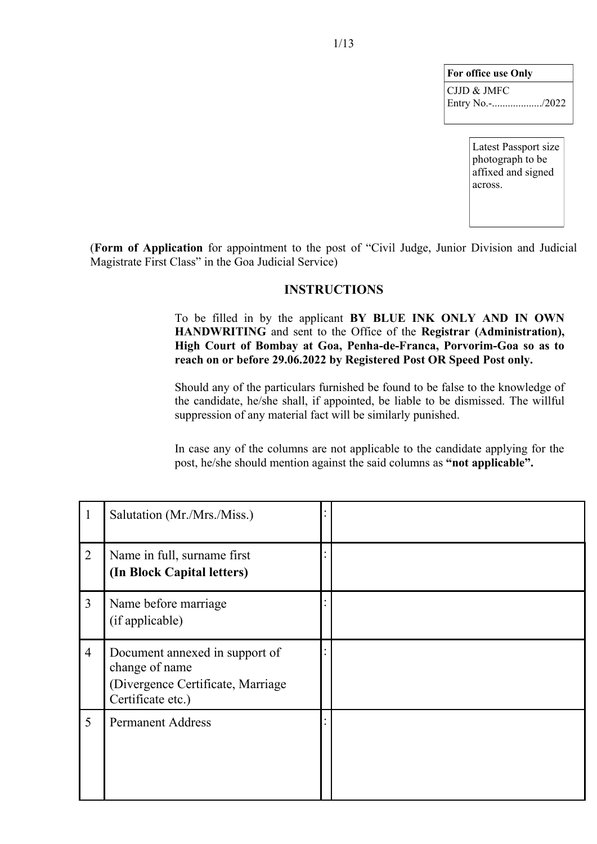| For office use Only |
|---------------------|
| CJJD & JMFC         |
|                     |

Latest Passport size photograph to be affixed and signed across.

(**Form of Application** for appointment to the post of "Civil Judge, Junior Division and Judicial Magistrate First Class" in the Goa Judicial Service)

#### **INSTRUCTIONS**

To be filled in by the applicant **BY BLUE INK ONLY AND IN OWN HANDWRITING** and sent to the Office of the **Registrar (Administration), High Court of Bombay at Goa, Penha-de-Franca, Porvorim-Goa so as to reach on or before 29.06.2022 by Registered Post OR Speed Post only.**

Should any of the particulars furnished be found to be false to the knowledge of the candidate, he/she shall, if appointed, be liable to be dismissed. The willful suppression of any material fact will be similarly punished.

In case any of the columns are not applicable to the candidate applying for the post, he/she should mention against the said columns as **"not applicable".**

| $\mathbf{1}$   | Salutation (Mr./Mrs./Miss.)                                                                                |  |  |
|----------------|------------------------------------------------------------------------------------------------------------|--|--|
| $\overline{2}$ | Name in full, surname first<br>(In Block Capital letters)                                                  |  |  |
| $\overline{3}$ | Name before marriage<br>(if applicable)                                                                    |  |  |
| $\overline{4}$ | Document annexed in support of<br>change of name<br>(Divergence Certificate, Marriage<br>Certificate etc.) |  |  |
| 5              | <b>Permanent Address</b>                                                                                   |  |  |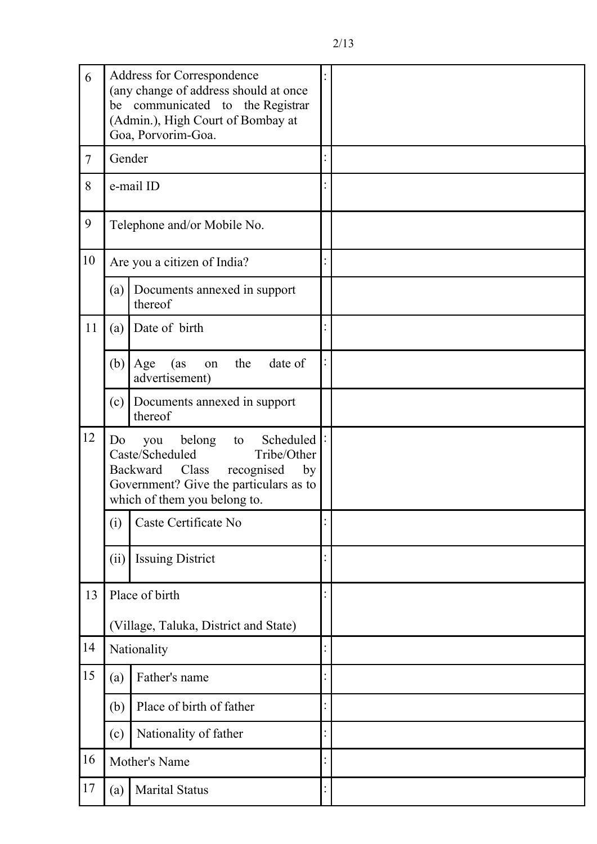| 6      | Address for Correspondence<br>(any change of address should at once<br>be communicated to the Registrar<br>(Admin.), High Court of Bombay at<br>Goa, Porvorim-Goa.                          |  |
|--------|---------------------------------------------------------------------------------------------------------------------------------------------------------------------------------------------|--|
| $\tau$ | Gender                                                                                                                                                                                      |  |
| 8      | e-mail ID                                                                                                                                                                                   |  |
| 9      | Telephone and/or Mobile No.                                                                                                                                                                 |  |
| 10     | Are you a citizen of India?                                                                                                                                                                 |  |
|        | Documents annexed in support<br>(a)<br>thereof                                                                                                                                              |  |
| 11     | Date of birth<br>(a)                                                                                                                                                                        |  |
|        | date of<br>(b)<br>the<br>Age<br>(as<br>on<br>advertisement)                                                                                                                                 |  |
|        | Documents annexed in support<br>(c)<br>thereof                                                                                                                                              |  |
| 12     | Scheduled  :<br>belong<br>Do<br>you<br>to<br>Caste/Scheduled<br>Tribe/Other<br>recognised<br>Backward Class<br>by<br>Government? Give the particulars as to<br>which of them you belong to. |  |
|        | Caste Certificate No<br>(i)                                                                                                                                                                 |  |
|        | (ii)<br><b>Issuing District</b>                                                                                                                                                             |  |
| 13     | Place of birth                                                                                                                                                                              |  |
|        | (Village, Taluka, District and State)                                                                                                                                                       |  |
| 14     | Nationality                                                                                                                                                                                 |  |
| 15     | Father's name<br>(a)                                                                                                                                                                        |  |
|        | Place of birth of father<br>(b)                                                                                                                                                             |  |
|        | Nationality of father<br>(c)                                                                                                                                                                |  |
| 16     | Mother's Name                                                                                                                                                                               |  |
| 17     | <b>Marital Status</b><br>(a)                                                                                                                                                                |  |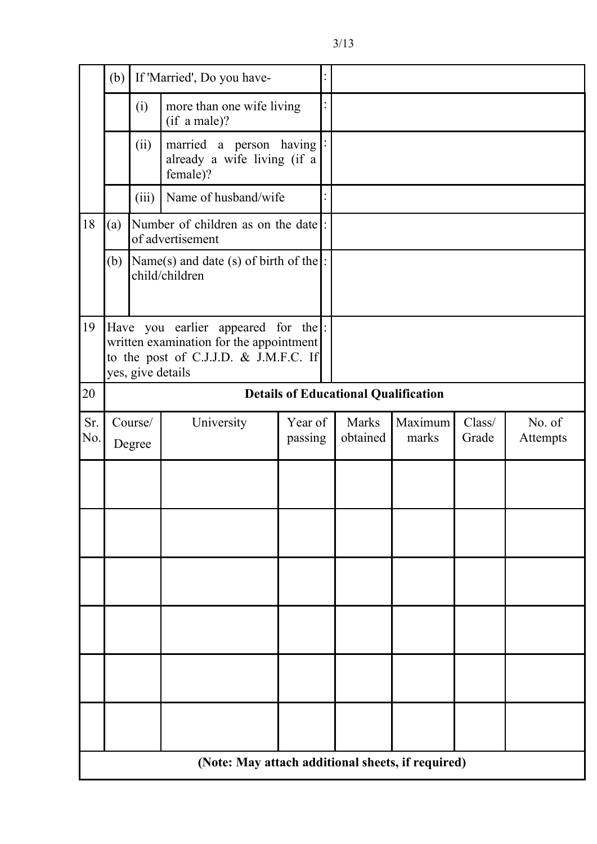|            | If 'Married', Do you have-<br>(b)                                                                                                             |                                                  |                                                                    | $\ddot{\cdot}$     |  |                                             |                  |                 |                    |
|------------|-----------------------------------------------------------------------------------------------------------------------------------------------|--------------------------------------------------|--------------------------------------------------------------------|--------------------|--|---------------------------------------------|------------------|-----------------|--------------------|
|            |                                                                                                                                               | more than one wife living<br>(i)<br>(if a male)? |                                                                    |                    |  |                                             |                  |                 |                    |
|            |                                                                                                                                               | (ii)                                             | married a person having<br>already a wife living (if a<br>female)? |                    |  |                                             |                  |                 |                    |
|            |                                                                                                                                               | (iii)                                            | Name of husband/wife                                               |                    |  |                                             |                  |                 |                    |
| 18         | (a)                                                                                                                                           |                                                  | Number of children as on the date:<br>of advertisement             |                    |  |                                             |                  |                 |                    |
|            | (b)                                                                                                                                           |                                                  | Name(s) and date (s) of birth of the $\vert$ :<br>child/children   |                    |  |                                             |                  |                 |                    |
| 19         | Have you earlier appeared for the  :<br>written examination for the appointment<br>to the post of C.J.J.D. & J.M.F.C. If<br>yes, give details |                                                  |                                                                    |                    |  |                                             |                  |                 |                    |
| 20         |                                                                                                                                               |                                                  |                                                                    |                    |  | <b>Details of Educational Qualification</b> |                  |                 |                    |
| Sr.<br>No. |                                                                                                                                               | Course/<br>Degree                                | University                                                         | Year of<br>passing |  | <b>Marks</b><br>obtained                    | Maximum<br>marks | Class/<br>Grade | No. of<br>Attempts |
|            |                                                                                                                                               |                                                  |                                                                    |                    |  |                                             |                  |                 |                    |
|            |                                                                                                                                               |                                                  |                                                                    |                    |  |                                             |                  |                 |                    |
|            |                                                                                                                                               |                                                  |                                                                    |                    |  |                                             |                  |                 |                    |
|            |                                                                                                                                               |                                                  |                                                                    |                    |  |                                             |                  |                 |                    |
|            |                                                                                                                                               |                                                  |                                                                    |                    |  |                                             |                  |                 |                    |
|            |                                                                                                                                               |                                                  |                                                                    |                    |  |                                             |                  |                 |                    |
|            | (Note: May attach additional sheets, if required)                                                                                             |                                                  |                                                                    |                    |  |                                             |                  |                 |                    |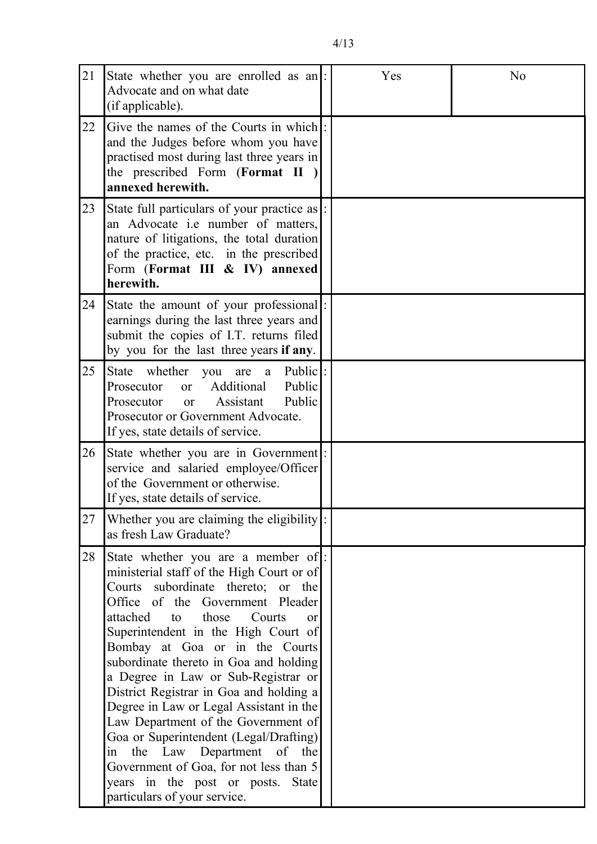| 21 | State whether you are enrolled as an :<br>Advocate and on what date<br>(if applicable).                                                                                                                                                                                                                                                                                                                                                                                                                                                                                                                                                                                                    |  | Yes | No |
|----|--------------------------------------------------------------------------------------------------------------------------------------------------------------------------------------------------------------------------------------------------------------------------------------------------------------------------------------------------------------------------------------------------------------------------------------------------------------------------------------------------------------------------------------------------------------------------------------------------------------------------------------------------------------------------------------------|--|-----|----|
| 22 | Give the names of the Courts in which!:<br>and the Judges before whom you have<br>practised most during last three years in<br>the prescribed Form (Format II)<br>annexed herewith.                                                                                                                                                                                                                                                                                                                                                                                                                                                                                                        |  |     |    |
| 23 | State full particulars of your practice as  :<br>an Advocate <i>i.e</i> number of matters,<br>nature of litigations, the total duration<br>of the practice, etc. in the prescribed<br>Form (Format III & IV) annexed<br>herewith.                                                                                                                                                                                                                                                                                                                                                                                                                                                          |  |     |    |
| 24 | State the amount of your professional.<br>earnings during the last three years and<br>submit the copies of I.T. returns filed<br>by you for the last three years if any.                                                                                                                                                                                                                                                                                                                                                                                                                                                                                                                   |  |     |    |
| 25 | Public:<br>State whether<br>you are<br>a<br>Public<br>Additional<br>Prosecutor<br><b>or</b><br>Public<br>Assistant<br>Prosecutor<br><b>or</b><br>Prosecutor or Government Advocate.<br>If yes, state details of service.                                                                                                                                                                                                                                                                                                                                                                                                                                                                   |  |     |    |
| 26 | State whether you are in Government.<br>service and salaried employee/Officer<br>of the Government or otherwise.<br>If yes, state details of service.                                                                                                                                                                                                                                                                                                                                                                                                                                                                                                                                      |  |     |    |
| 27 | Whether you are claiming the eligibility:<br>as fresh Law Graduate?                                                                                                                                                                                                                                                                                                                                                                                                                                                                                                                                                                                                                        |  |     |    |
| 28 | State whether you are a member of:<br>ministerial staff of the High Court or of<br>Courts subordinate thereto; or the<br>Office of the Government Pleader<br>those<br>attached<br>to<br>Courts<br>$\alpha$<br>Superintendent in the High Court of<br>Bombay at Goa or in the Courts<br>subordinate thereto in Goa and holding<br>a Degree in Law or Sub-Registrar or<br>District Registrar in Goa and holding a<br>Degree in Law or Legal Assistant in the<br>Law Department of the Government of<br>Goa or Superintendent (Legal/Drafting)<br>in the Law Department of the<br>Government of Goa, for not less than 5<br>years in the post or posts. State<br>particulars of your service. |  |     |    |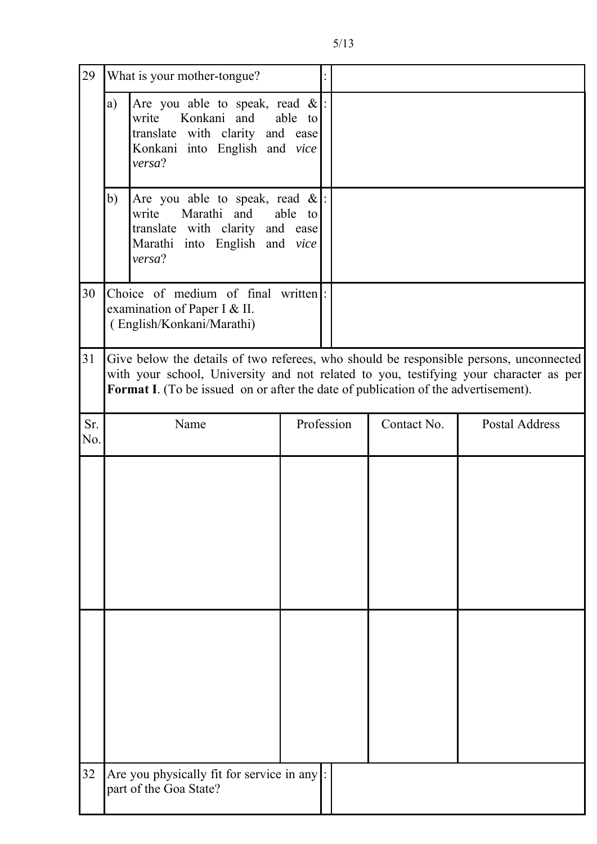| 29         |                                                                                                                                                                                                                                                                              | What is your mother-tongue?                                            |  |                           |  |                       |
|------------|------------------------------------------------------------------------------------------------------------------------------------------------------------------------------------------------------------------------------------------------------------------------------|------------------------------------------------------------------------|--|---------------------------|--|-----------------------|
|            | Are you able to speak, read $\&$  :<br>a)<br>write Konkani and<br>able to<br>translate with clarity and ease<br>Konkani into English and vice<br>versa?                                                                                                                      |                                                                        |  |                           |  |                       |
|            | b)<br>Are you able to speak, read $\&$ :<br>write<br>Marathi and<br>able to<br>translate with clarity and ease<br>Marathi into English and vice<br>versa?                                                                                                                    |                                                                        |  |                           |  |                       |
| 30         | Choice of medium of final written.<br>examination of Paper I & II.<br>(English/Konkani/Marathi)                                                                                                                                                                              |                                                                        |  |                           |  |                       |
| 31         | Give below the details of two referees, who should be responsible persons, unconnected<br>with your school, University and not related to you, testifying your character as per<br><b>Format I.</b> (To be issued on or after the date of publication of the advertisement). |                                                                        |  |                           |  |                       |
| Sr.<br>No. |                                                                                                                                                                                                                                                                              | Name                                                                   |  | Profession<br>Contact No. |  | <b>Postal Address</b> |
|            |                                                                                                                                                                                                                                                                              |                                                                        |  |                           |  |                       |
|            |                                                                                                                                                                                                                                                                              |                                                                        |  |                           |  |                       |
| 32         |                                                                                                                                                                                                                                                                              | Are you physically fit for service in any  :<br>part of the Goa State? |  |                           |  |                       |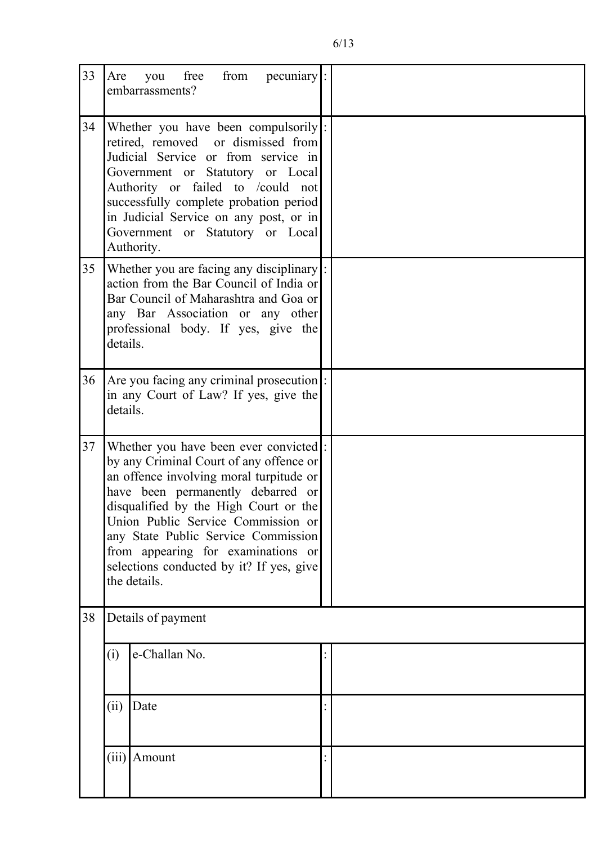| 33 | Are                                                                                                                                                                                                                                                                                                                                                                                      | free<br>from<br>$pecuniary$ :<br>you<br>embarrassments? |  |  |
|----|------------------------------------------------------------------------------------------------------------------------------------------------------------------------------------------------------------------------------------------------------------------------------------------------------------------------------------------------------------------------------------------|---------------------------------------------------------|--|--|
| 34 | Whether you have been compulsorily :<br>retired, removed or dismissed from<br>Judicial Service or from service in<br>Government or Statutory or Local<br>Authority or failed to /could not<br>successfully complete probation period<br>in Judicial Service on any post, or in<br>Government or Statutory or Local<br>Authority.                                                         |                                                         |  |  |
| 35 | Whether you are facing any disciplinary:<br>action from the Bar Council of India or<br>Bar Council of Maharashtra and Goa or<br>any Bar Association or any other<br>professional body. If yes, give the<br>details.                                                                                                                                                                      |                                                         |  |  |
| 36 | Are you facing any criminal prosecution:<br>in any Court of Law? If yes, give the<br>details.                                                                                                                                                                                                                                                                                            |                                                         |  |  |
| 37 | Whether you have been ever convicted:<br>by any Criminal Court of any offence or<br>an offence involving moral turpitude or<br>have been permanently debarred or<br>disqualified by the High Court or the<br>Union Public Service Commission or<br>any State Public Service Commission<br>from appearing for examinations or<br>selections conducted by it? If yes, give<br>the details. |                                                         |  |  |
| 38 | Details of payment                                                                                                                                                                                                                                                                                                                                                                       |                                                         |  |  |
|    | (i)                                                                                                                                                                                                                                                                                                                                                                                      | e-Challan No.                                           |  |  |
|    | (ii)                                                                                                                                                                                                                                                                                                                                                                                     | Date                                                    |  |  |
|    |                                                                                                                                                                                                                                                                                                                                                                                          | $(iii)$ Amount                                          |  |  |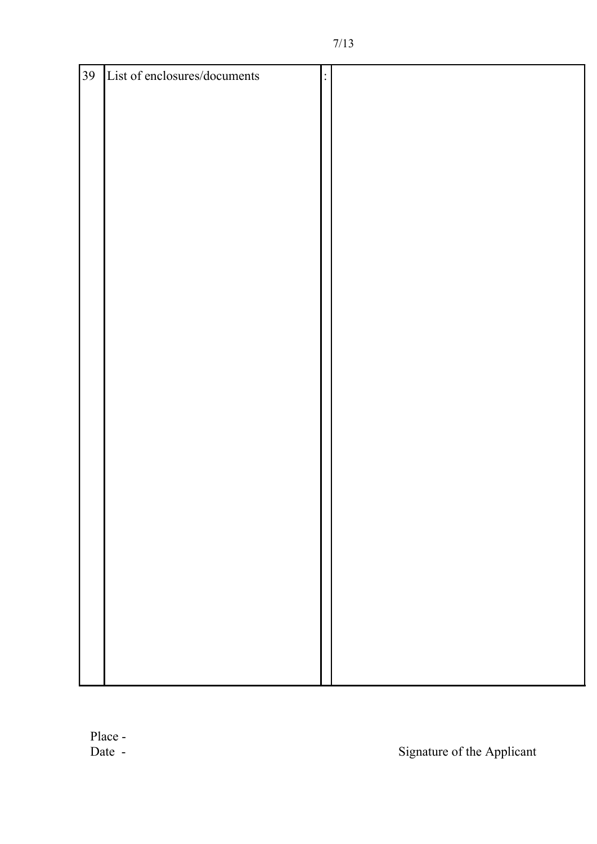| 39 | List of enclosures/documents | $\ddot{\cdot}$ |  |
|----|------------------------------|----------------|--|
|    |                              |                |  |
|    |                              |                |  |
|    |                              |                |  |
|    |                              |                |  |
|    |                              |                |  |
|    |                              |                |  |
|    |                              |                |  |
|    |                              |                |  |
|    |                              |                |  |
|    |                              |                |  |
|    |                              |                |  |
|    |                              |                |  |
|    |                              |                |  |
|    |                              |                |  |
|    |                              |                |  |
|    |                              |                |  |
|    |                              |                |  |
|    |                              |                |  |
|    |                              |                |  |
|    |                              |                |  |
|    |                              |                |  |
|    |                              |                |  |
|    |                              |                |  |
|    |                              |                |  |
|    |                              |                |  |
|    |                              |                |  |
|    |                              |                |  |
|    |                              |                |  |
|    |                              |                |  |
|    |                              |                |  |
|    |                              |                |  |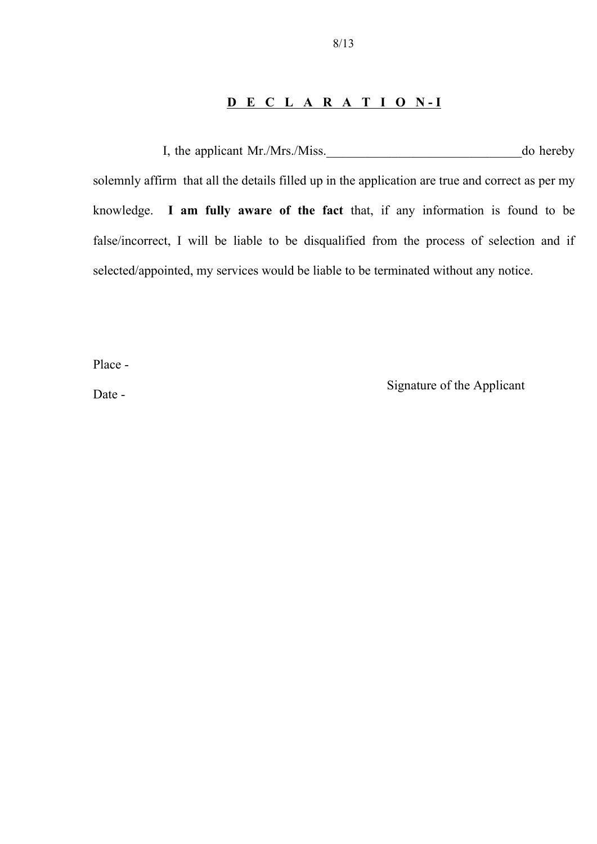#### **DECLARATION-I**

 I, the applicant Mr./Mrs./Miss.\_\_\_\_\_\_\_\_\_\_\_\_\_\_\_\_\_\_\_\_\_\_\_\_\_\_\_\_\_\_do hereby solemnly affirm that all the details filled up in the application are true and correct as per my knowledge. **I am fully aware of the fact** that, if any information is found to be false/incorrect, I will be liable to be disqualified from the process of selection and if selected/appointed, my services would be liable to be terminated without any notice.

Place -

Date - Signature of the Applicant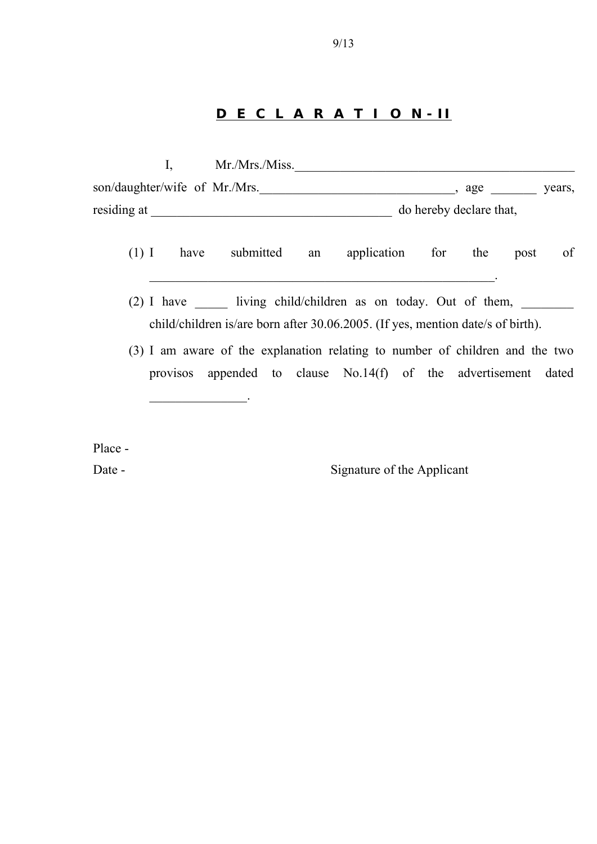### **DECLARATIO N - II**

|                               | Mr./Mrs./Miss. |                         |        |
|-------------------------------|----------------|-------------------------|--------|
| son/daughter/wife of Mr./Mrs. |                | age                     | years, |
| residing at                   |                | do hereby declare that, |        |

- (1) I have submitted an application for the post of
- (2) I have  $\frac{1}{\sqrt{2}}$  living child/children as on today. Out of them,  $\frac{1}{\sqrt{2}}$ child/children is/are born after 30.06.2005. (If yes, mention date/s of birth).

 $\mathcal{L}_\text{max} = \mathcal{L}_\text{max} = \mathcal{L}_\text{max} = \mathcal{L}_\text{max} = \mathcal{L}_\text{max} = \mathcal{L}_\text{max} = \mathcal{L}_\text{max} = \mathcal{L}_\text{max} = \mathcal{L}_\text{max} = \mathcal{L}_\text{max} = \mathcal{L}_\text{max} = \mathcal{L}_\text{max} = \mathcal{L}_\text{max} = \mathcal{L}_\text{max} = \mathcal{L}_\text{max} = \mathcal{L}_\text{max} = \mathcal{L}_\text{max} = \mathcal{L}_\text{max} = \mathcal{$ 

(3) I am aware of the explanation relating to number of children and the two provisos appended to clause No.14(f) of the advertisement dated  $\mathcal{L}_\text{max}$ 

Place -

Date - Signature of the Applicant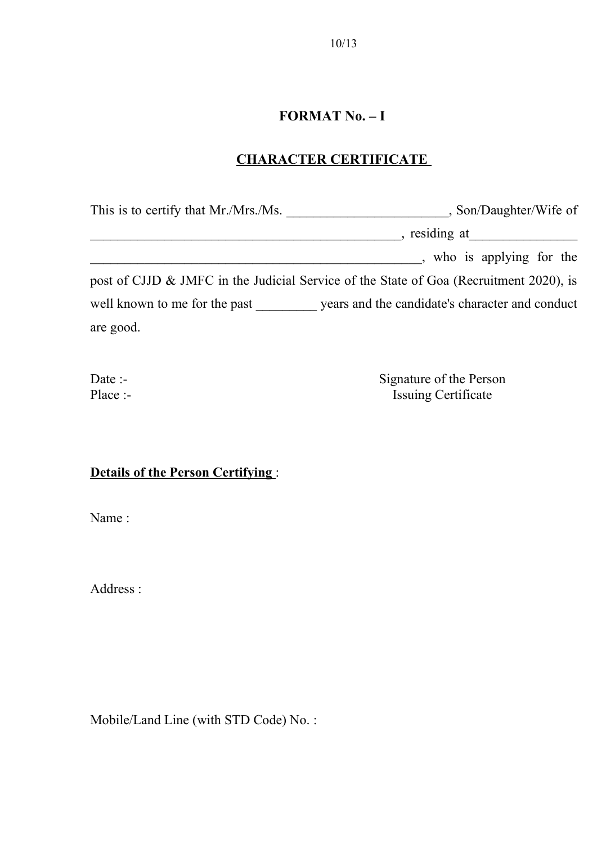## **FORMAT No. – I**

## **CHARACTER CERTIFICATE**

| This is to certify that Mr./Mrs./Ms. | , Son/Daughter/Wife of                                                                 |
|--------------------------------------|----------------------------------------------------------------------------------------|
|                                      | , residing at                                                                          |
|                                      | who is applying for the                                                                |
|                                      | post of CJJD & JMFC in the Judicial Service of the State of Goa (Recruitment 2020), is |
| well known to me for the past        | years and the candidate's character and conduct                                        |
| are good.                            |                                                                                        |

Date :-<br>
Place :-<br>
Signature of the Person<br>
Issuing Certificate E<br>Issuing Certificate

# **Details of the Person Certifying** :

Name :

Address :

Mobile/Land Line (with STD Code) No. :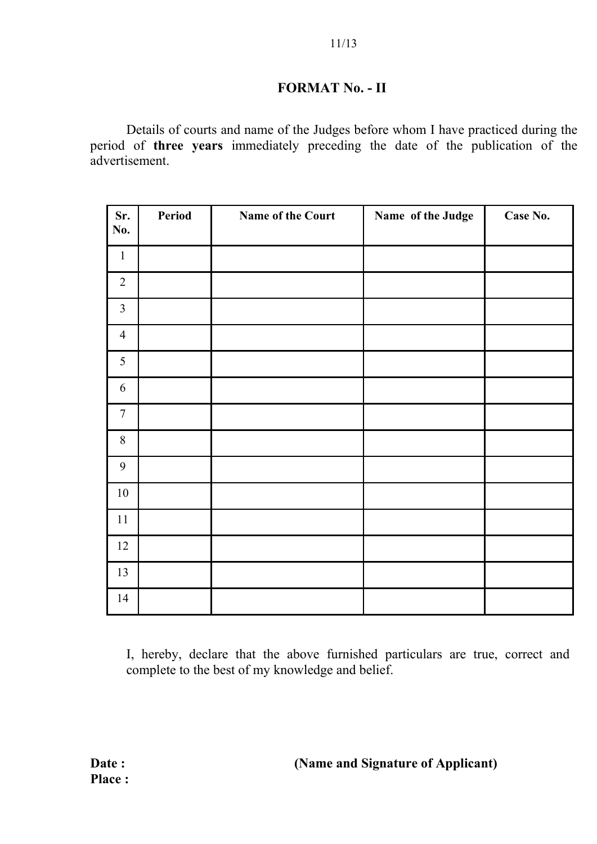### **FORMAT No. - II**

Details of courts and name of the Judges before whom I have practiced during the period of **three years** immediately preceding the date of the publication of the advertisement.

| Sr.<br>No.     | Period | Name of the Court | Name of the Judge | Case No. |
|----------------|--------|-------------------|-------------------|----------|
| $\mathbf{1}$   |        |                   |                   |          |
| $\overline{2}$ |        |                   |                   |          |
| $\overline{3}$ |        |                   |                   |          |
| $\overline{4}$ |        |                   |                   |          |
| 5              |        |                   |                   |          |
| 6              |        |                   |                   |          |
| $\overline{7}$ |        |                   |                   |          |
| $\, 8$         |        |                   |                   |          |
| $\mathbf{9}$   |        |                   |                   |          |
| $10\,$         |        |                   |                   |          |
| 11             |        |                   |                   |          |
| 12             |        |                   |                   |          |
| 13             |        |                   |                   |          |
| 14             |        |                   |                   |          |

I, hereby, declare that the above furnished particulars are true, correct and complete to the best of my knowledge and belief.

Date : (Name and Signature of Applicant)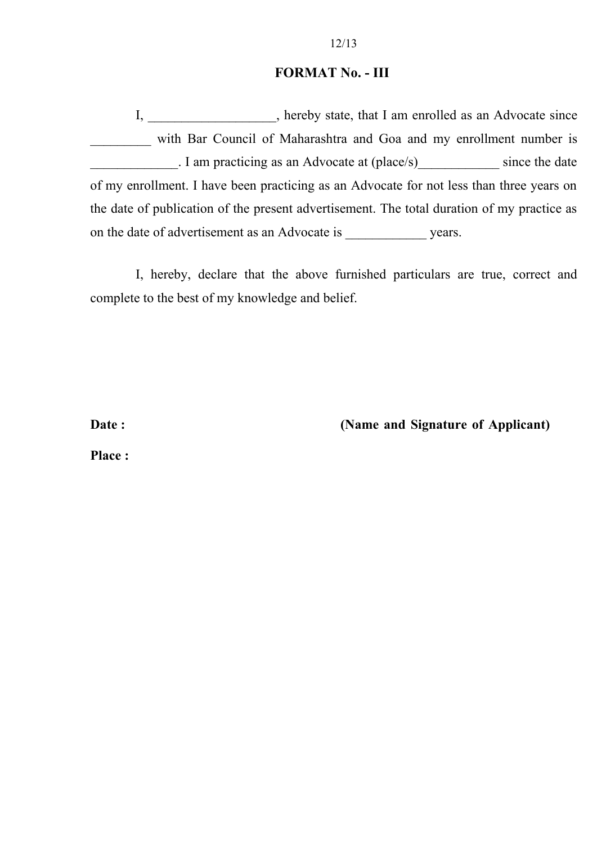#### **FORMAT No. - III**

I, \_\_\_\_\_\_\_\_\_\_\_\_\_\_\_\_, hereby state, that I am enrolled as an Advocate since with Bar Council of Maharashtra and Goa and my enrollment number is I am practicing as an Advocate at (place/s) since the date of my enrollment. I have been practicing as an Advocate for not less than three years on the date of publication of the present advertisement. The total duration of my practice as on the date of advertisement as an Advocate is years.

I, hereby, declare that the above furnished particulars are true, correct and complete to the best of my knowledge and belief.

Date : (Name and Signature of Applicant)

**Place :**